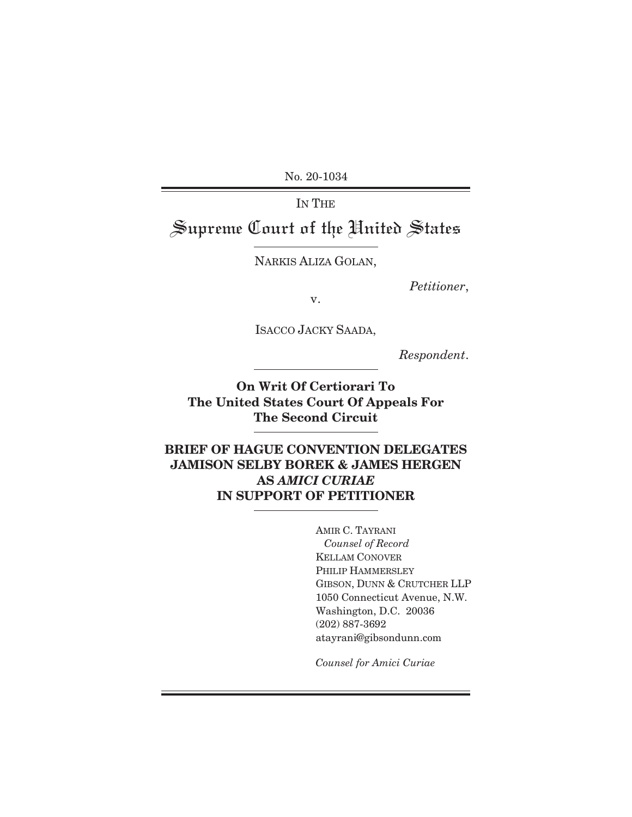No. 20-1034

IN THE Supreme Court of the United States

NARKIS ALIZA GOLAN,

*Petitioner*,

v.

ISACCO JACKY SAADA,

*Respondent*.

**On Writ Of Certiorari To The United States Court Of Appeals For The Second Circuit** 

**BRIEF OF HAGUE CONVENTION DELEGATES JAMISON SELBY BOREK & JAMES HERGEN AS** *AMICI CURIAE*  **IN SUPPORT OF PETITIONER**

> AMIR C. TAYRANI  *Counsel of Record*  KELLAM CONOVER PHILIP HAMMERSLEY GIBSON, DUNN & CRUTCHER LLP 1050 Connecticut Avenue, N.W. Washington, D.C. 20036 (202) 887-3692 atayrani@gibsondunn.com

*Counsel for Amici Curiae*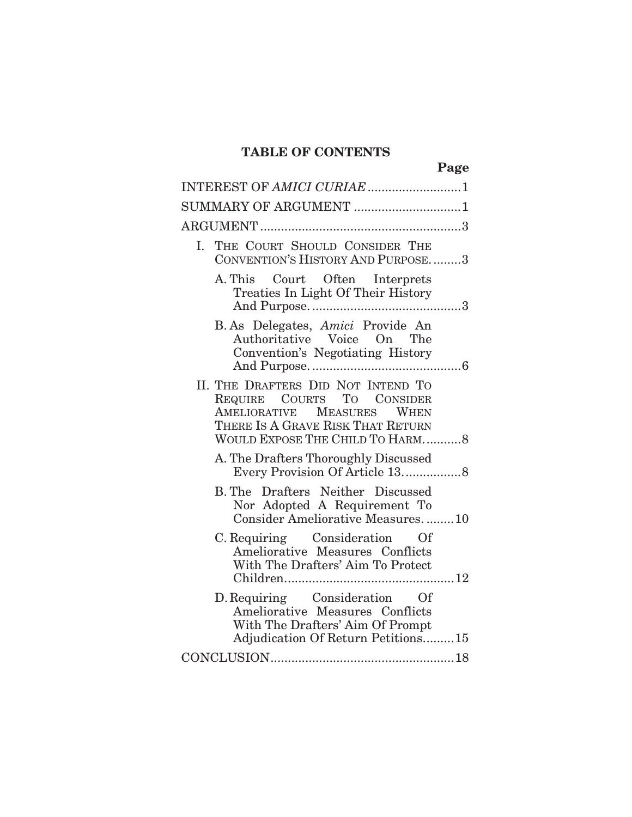# **TABLE OF CONTENTS**

|                                                                                                                                                                        | Page |
|------------------------------------------------------------------------------------------------------------------------------------------------------------------------|------|
|                                                                                                                                                                        |      |
| SUMMARY OF ARGUMENT 1                                                                                                                                                  |      |
|                                                                                                                                                                        |      |
| THE COURT SHOULD CONSIDER THE<br>L.<br>CONVENTION'S HISTORY AND PURPOSE3                                                                                               |      |
| A. This Court Often Interprets<br>Treaties In Light Of Their History                                                                                                   |      |
| B. As Delegates, Amici Provide An<br>Authoritative Voice On The<br>Convention's Negotiating History                                                                    |      |
| II. THE DRAFTERS DID NOT INTEND TO<br>REQUIRE COURTS TO CONSIDER<br>AMELIORATIVE MEASURES WHEN<br>THERE IS A GRAVE RISK THAT RETURN<br>WOULD EXPOSE THE CHILD TO HARM8 |      |
| A. The Drafters Thoroughly Discussed                                                                                                                                   |      |
| <b>B. The Drafters Neither Discussed</b><br>Nor Adopted A Requirement To<br>Consider Ameliorative Measures10                                                           |      |
| C. Requiring Consideration Of<br>Ameliorative Measures Conflicts<br>With The Drafters' Aim To Protect                                                                  |      |
| D. Requiring Consideration Of<br>Ameliorative Measures Conflicts<br>With The Drafters' Aim Of Prompt<br>Adjudication Of Return Petitions15                             |      |
|                                                                                                                                                                        |      |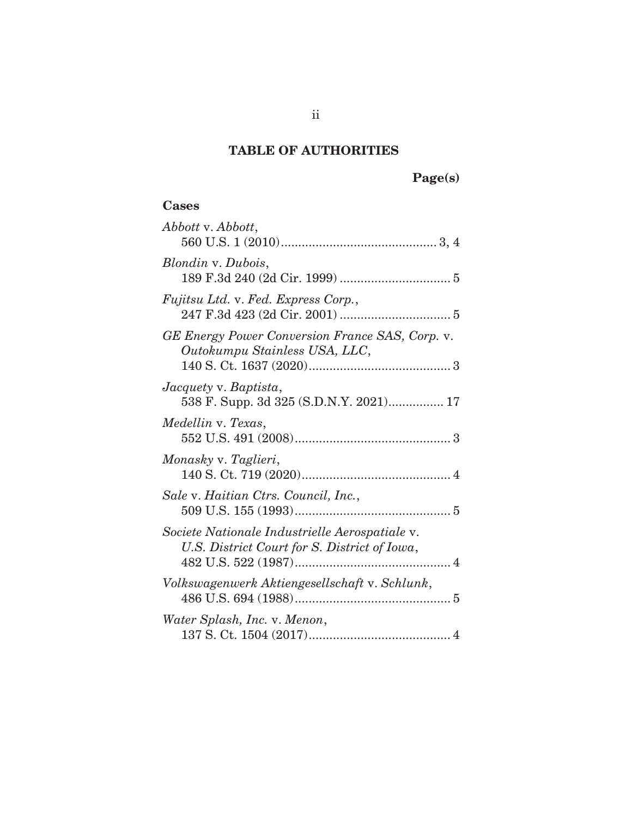# **TABLE OF AUTHORITIES**

# **Cases**

| Abbott v. Abbott,                                                                              |
|------------------------------------------------------------------------------------------------|
| Blondin v. Dubois,                                                                             |
| Fujitsu Ltd. v. Fed. Express Corp.,                                                            |
| GE Energy Power Conversion France SAS, Corp. v.<br>Outokumpu Stainless USA, LLC,               |
| Jacquety v. Baptista,<br>538 F. Supp. 3d 325 (S.D.N.Y. 2021) 17                                |
| Medellin v. Texas,                                                                             |
| Monasky v. Taglieri,                                                                           |
| Sale v. Haitian Ctrs. Council, Inc.,                                                           |
| Societe Nationale Industrielle Aerospatiale v.<br>U.S. District Court for S. District of Iowa, |
| Volkswagenwerk Aktiengesellschaft v. Schlunk,                                                  |
| Water Splash, Inc. v. Menon,                                                                   |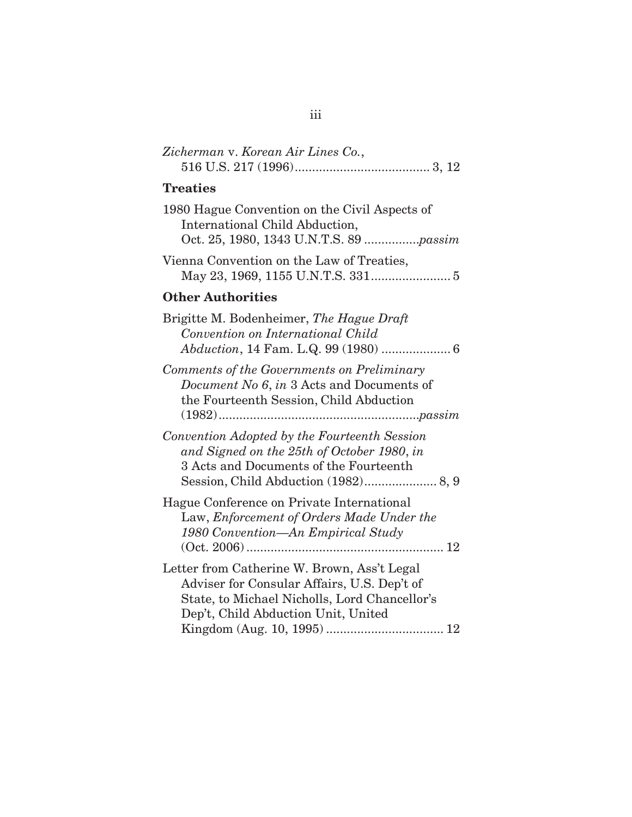| Zicherman v. Korean Air Lines Co.,                                                                                                                                                 |
|------------------------------------------------------------------------------------------------------------------------------------------------------------------------------------|
| <b>Treaties</b>                                                                                                                                                                    |
| 1980 Hague Convention on the Civil Aspects of<br>International Child Abduction,<br>Oct. 25, 1980, 1343 U.N.T.S. 89 passim                                                          |
| Vienna Convention on the Law of Treaties,                                                                                                                                          |
| <b>Other Authorities</b>                                                                                                                                                           |
| Brigitte M. Bodenheimer, The Hague Draft<br>Convention on International Child                                                                                                      |
| Comments of the Governments on Preliminary<br>Document No 6, in 3 Acts and Documents of<br>the Fourteenth Session, Child Abduction                                                 |
| Convention Adopted by the Fourteenth Session<br>and Signed on the 25th of October 1980, in<br>3 Acts and Documents of the Fourteenth                                               |
| Hague Conference on Private International<br>Law, Enforcement of Orders Made Under the<br>1980 Convention—An Empirical Study                                                       |
| Letter from Catherine W. Brown, Ass't Legal<br>Adviser for Consular Affairs, U.S. Dep't of<br>State, to Michael Nicholls, Lord Chancellor's<br>Dep't, Child Abduction Unit, United |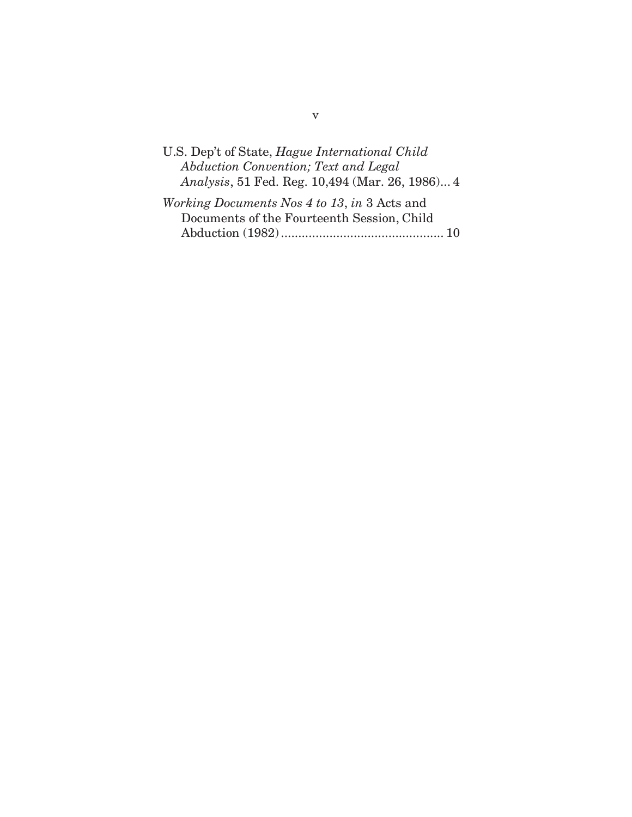| U.S. Dep't of State, <i>Hague International Child</i>   |
|---------------------------------------------------------|
| Abduction Convention; Text and Legal                    |
| <i>Analysis</i> , 51 Fed. Reg. 10,494 (Mar. 26, 1986) 4 |

| <i>Working Documents Nos 4 to 13, in 3 Acts and</i> |  |
|-----------------------------------------------------|--|
| Documents of the Fourteenth Session, Child          |  |
|                                                     |  |

v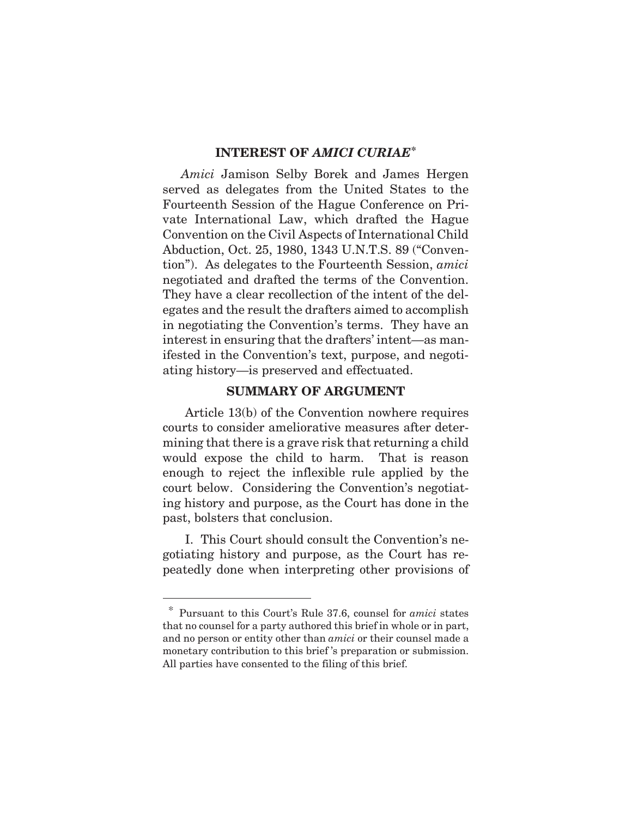#### **INTEREST OF** *AMICI CURIAE***\***

*Amici* Jamison Selby Borek and James Hergen served as delegates from the United States to the Fourteenth Session of the Hague Conference on Private International Law, which drafted the Hague Convention on the Civil Aspects of International Child Abduction, Oct. 25, 1980, 1343 U.N.T.S. 89 ("Convention"). As delegates to the Fourteenth Session, *amici*  negotiated and drafted the terms of the Convention. They have a clear recollection of the intent of the delegates and the result the drafters aimed to accomplish in negotiating the Convention's terms. They have an interest in ensuring that the drafters' intent—as manifested in the Convention's text, purpose, and negotiating history—is preserved and effectuated.

#### **SUMMARY OF ARGUMENT**

Article 13(b) of the Convention nowhere requires courts to consider ameliorative measures after determining that there is a grave risk that returning a child would expose the child to harm. That is reason enough to reject the inflexible rule applied by the court below. Considering the Convention's negotiating history and purpose, as the Court has done in the past, bolsters that conclusion.

I.This Court should consult the Convention's negotiating history and purpose, as the Court has repeatedly done when interpreting other provisions of

 $\overline{a}$ 

\* Pursuant to this Court's Rule 37.6, counsel for *amici* states that no counsel for a party authored this brief in whole or in part, and no person or entity other than *amici* or their counsel made a monetary contribution to this brief 's preparation or submission. All parties have consented to the filing of this brief.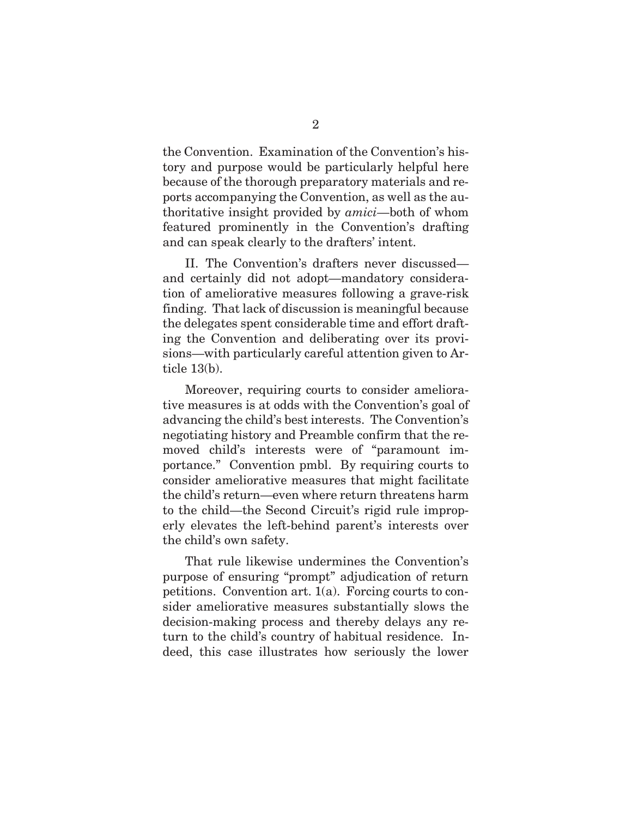the Convention. Examination of the Convention's history and purpose would be particularly helpful here because of the thorough preparatory materials and reports accompanying the Convention, as well as the authoritative insight provided by *amici*—both of whom featured prominently in the Convention's drafting and can speak clearly to the drafters' intent.

II. The Convention's drafters never discussed and certainly did not adopt—mandatory consideration of ameliorative measures following a grave-risk finding. That lack of discussion is meaningful because the delegates spent considerable time and effort drafting the Convention and deliberating over its provisions—with particularly careful attention given to Article 13(b).

Moreover, requiring courts to consider ameliorative measures is at odds with the Convention's goal of advancing the child's best interests. The Convention's negotiating history and Preamble confirm that the removed child's interests were of "paramount importance." Convention pmbl. By requiring courts to consider ameliorative measures that might facilitate the child's return—even where return threatens harm to the child—the Second Circuit's rigid rule improperly elevates the left-behind parent's interests over the child's own safety.

That rule likewise undermines the Convention's purpose of ensuring "prompt" adjudication of return petitions. Convention art. 1(a). Forcing courts to consider ameliorative measures substantially slows the decision-making process and thereby delays any return to the child's country of habitual residence. Indeed, this case illustrates how seriously the lower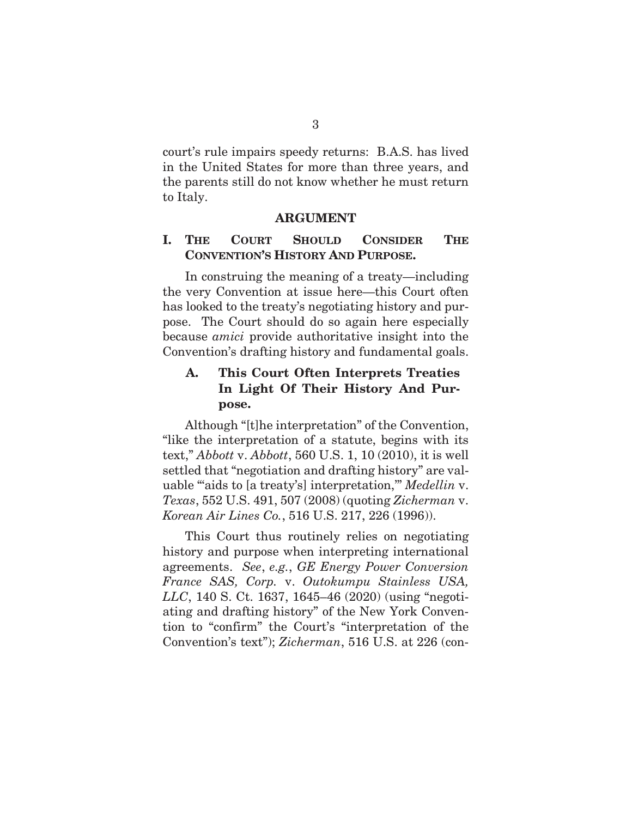court's rule impairs speedy returns: B.A.S. has lived in the United States for more than three years, and the parents still do not know whether he must return to Italy.

#### **ARGUMENT**

#### **I. THE COURT SHOULD CONSIDER THE CONVENTION'S HISTORY AND PURPOSE.**

In construing the meaning of a treaty—including the very Convention at issue here—this Court often has looked to the treaty's negotiating history and purpose. The Court should do so again here especially because *amici* provide authoritative insight into the Convention's drafting history and fundamental goals.

#### **A. This Court Often Interprets Treaties In Light Of Their History And Purpose.**

Although "[t]he interpretation" of the Convention, "like the interpretation of a statute, begins with its text," *Abbott* v. *Abbott*, 560 U.S. 1, 10 (2010), it is well settled that "negotiation and drafting history" are valuable "'aids to [a treaty's] interpretation,'" *Medellin* v. *Texas*, 552 U.S. 491, 507 (2008) (quoting *Zicherman* v. *Korean Air Lines Co.*, 516 U.S. 217, 226 (1996)).

This Court thus routinely relies on negotiating history and purpose when interpreting international agreements. *See*, *e.g.*, *GE Energy Power Conversion France SAS, Corp.* v. *Outokumpu Stainless USA, LLC*, 140 S. Ct. 1637, 1645–46 (2020) (using "negotiating and drafting history" of the New York Convention to "confirm" the Court's "interpretation of the Convention's text"); *Zicherman*, 516 U.S. at 226 (con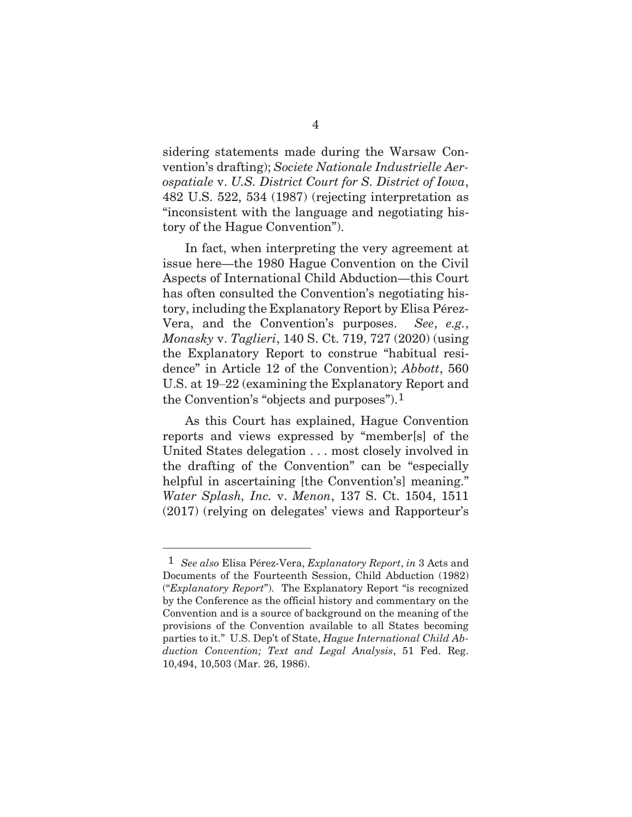sidering statements made during the Warsaw Convention's drafting); *Societe Nationale Industrielle Aerospatiale* v. *U.S. District Court for S. District of Iowa*, 482 U.S. 522, 534 (1987) (rejecting interpretation as "inconsistent with the language and negotiating history of the Hague Convention").

In fact, when interpreting the very agreement at issue here—the 1980 Hague Convention on the Civil Aspects of International Child Abduction—this Court has often consulted the Convention's negotiating history, including the Explanatory Report by Elisa Pérez-Vera, and the Convention's purposes. *See*, *e.g.*, *Monasky* v. *Taglieri*, 140 S. Ct. 719, 727 (2020) (using the Explanatory Report to construe "habitual residence" in Article 12 of the Convention); *Abbott*, 560 U.S. at 19–22 (examining the Explanatory Report and the Convention's "objects and purposes").1

As this Court has explained, Hague Convention reports and views expressed by "member[s] of the United States delegation . . . most closely involved in the drafting of the Convention" can be "especially helpful in ascertaining [the Convention's] meaning." *Water Splash, Inc.* v. *Menon*, 137 S. Ct. 1504, 1511 (2017) (relying on delegates' views and Rapporteur's

l

<sup>1</sup> *See also* Elisa Pérez-Vera, *Explanatory Report*, *in* 3 Acts and Documents of the Fourteenth Session, Child Abduction (1982) ("*Explanatory Report*"). The Explanatory Report "is recognized by the Conference as the official history and commentary on the Convention and is a source of background on the meaning of the provisions of the Convention available to all States becoming parties to it." U.S. Dep't of State, *Hague International Child Abduction Convention; Text and Legal Analysis*, 51 Fed. Reg. 10,494, 10,503 (Mar. 26, 1986).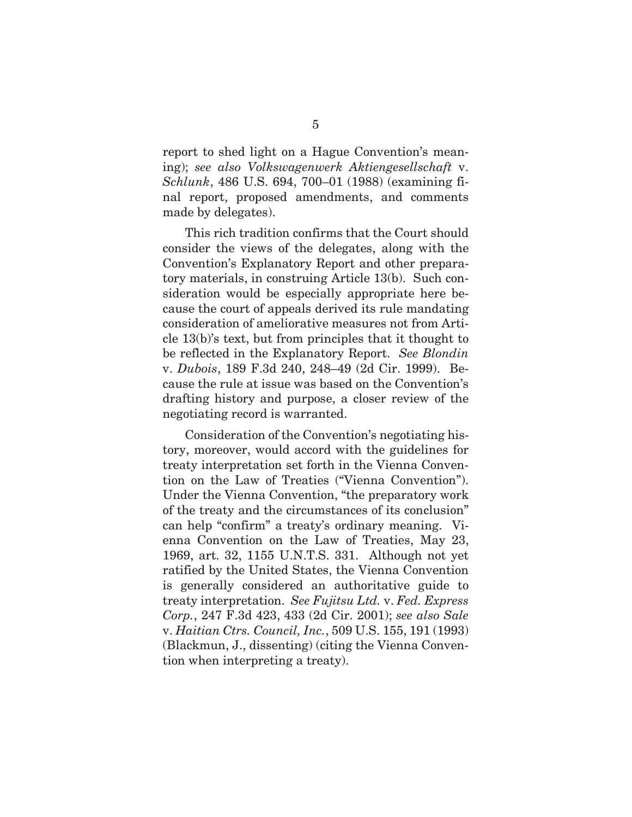report to shed light on a Hague Convention's meaning); *see also Volkswagenwerk Aktiengesellschaft* v. *Schlunk*, 486 U.S. 694, 700–01 (1988) (examining final report, proposed amendments, and comments made by delegates).

This rich tradition confirms that the Court should consider the views of the delegates, along with the Convention's Explanatory Report and other preparatory materials, in construing Article 13(b). Such consideration would be especially appropriate here because the court of appeals derived its rule mandating consideration of ameliorative measures not from Article 13(b)'s text, but from principles that it thought to be reflected in the Explanatory Report. *See Blondin*  v. *Dubois*, 189 F.3d 240, 248–49 (2d Cir. 1999). Because the rule at issue was based on the Convention's drafting history and purpose, a closer review of the negotiating record is warranted.

Consideration of the Convention's negotiating history, moreover, would accord with the guidelines for treaty interpretation set forth in the Vienna Convention on the Law of Treaties ("Vienna Convention"). Under the Vienna Convention, "the preparatory work of the treaty and the circumstances of its conclusion" can help "confirm" a treaty's ordinary meaning. Vienna Convention on the Law of Treaties, May 23, 1969, art. 32, 1155 U.N.T.S. 331. Although not yet ratified by the United States, the Vienna Convention is generally considered an authoritative guide to treaty interpretation. *See Fujitsu Ltd.* v. *Fed. Express Corp.*, 247 F.3d 423, 433 (2d Cir. 2001); *see also Sale*  v. *Haitian Ctrs. Council, Inc.*, 509 U.S. 155, 191 (1993) (Blackmun, J., dissenting) (citing the Vienna Convention when interpreting a treaty).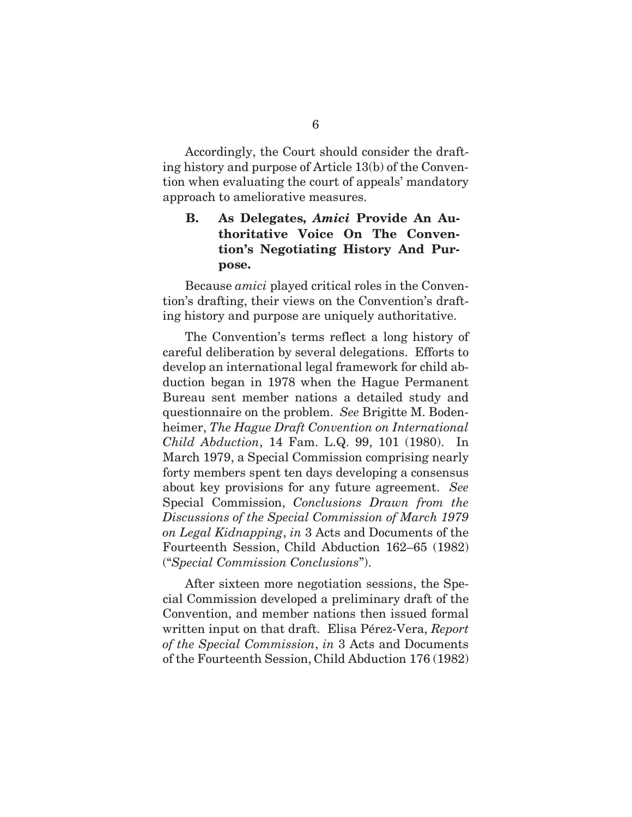Accordingly, the Court should consider the drafting history and purpose of Article 13(b) of the Convention when evaluating the court of appeals' mandatory approach to ameliorative measures.

## **B. As Delegates,** *Amici* **Provide An Authoritative Voice On The Convention's Negotiating History And Purpose.**

Because *amici* played critical roles in the Convention's drafting, their views on the Convention's drafting history and purpose are uniquely authoritative.

The Convention's terms reflect a long history of careful deliberation by several delegations. Efforts to develop an international legal framework for child abduction began in 1978 when the Hague Permanent Bureau sent member nations a detailed study and questionnaire on the problem. *See* Brigitte M. Bodenheimer, *The Hague Draft Convention on International Child Abduction*, 14 Fam. L.Q. 99, 101 (1980). In March 1979, a Special Commission comprising nearly forty members spent ten days developing a consensus about key provisions for any future agreement. *See*  Special Commission, *Conclusions Drawn from the Discussions of the Special Commission of March 1979 on Legal Kidnapping*, *in* 3 Acts and Documents of the Fourteenth Session, Child Abduction 162–65 (1982) ("*Special Commission Conclusions*").

After sixteen more negotiation sessions, the Special Commission developed a preliminary draft of the Convention, and member nations then issued formal written input on that draft. Elisa Pérez-Vera, *Report of the Special Commission*, *in* 3 Acts and Documents of the Fourteenth Session, Child Abduction 176 (1982)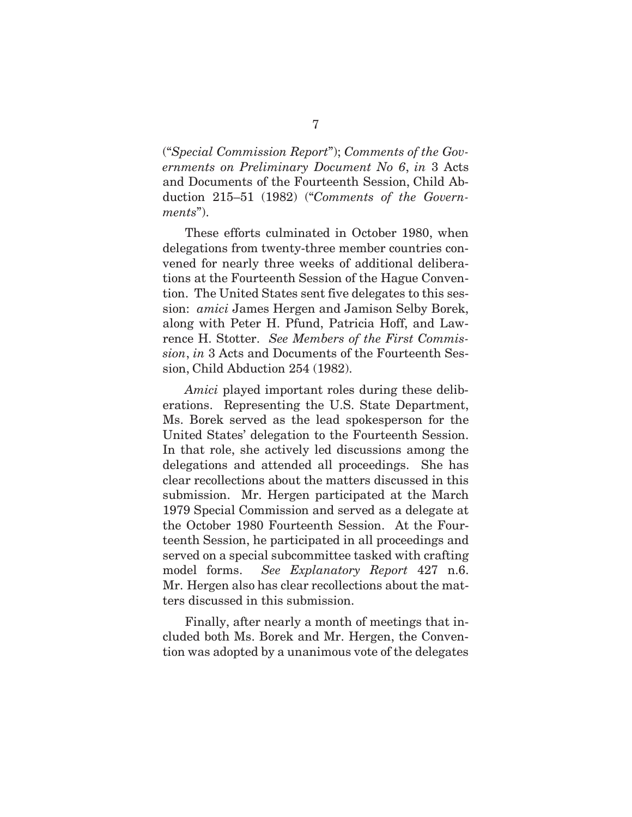("*Special Commission Report*"); *Comments of the Governments on Preliminary Document No 6*, *in* 3 Acts and Documents of the Fourteenth Session, Child Abduction 215–51 (1982) ("*Comments of the Governments*").

These efforts culminated in October 1980, when delegations from twenty-three member countries convened for nearly three weeks of additional deliberations at the Fourteenth Session of the Hague Convention. The United States sent five delegates to this session: *amici* James Hergen and Jamison Selby Borek, along with Peter H. Pfund, Patricia Hoff, and Lawrence H. Stotter. *See Members of the First Commission*, *in* 3 Acts and Documents of the Fourteenth Session, Child Abduction 254 (1982).

*Amici* played important roles during these deliberations. Representing the U.S. State Department, Ms. Borek served as the lead spokesperson for the United States' delegation to the Fourteenth Session. In that role, she actively led discussions among the delegations and attended all proceedings. She has clear recollections about the matters discussed in this submission. Mr. Hergen participated at the March 1979 Special Commission and served as a delegate at the October 1980 Fourteenth Session. At the Fourteenth Session, he participated in all proceedings and served on a special subcommittee tasked with crafting model forms. *See Explanatory Report* 427 n.6. Mr. Hergen also has clear recollections about the matters discussed in this submission.

Finally, after nearly a month of meetings that included both Ms. Borek and Mr. Hergen, the Convention was adopted by a unanimous vote of the delegates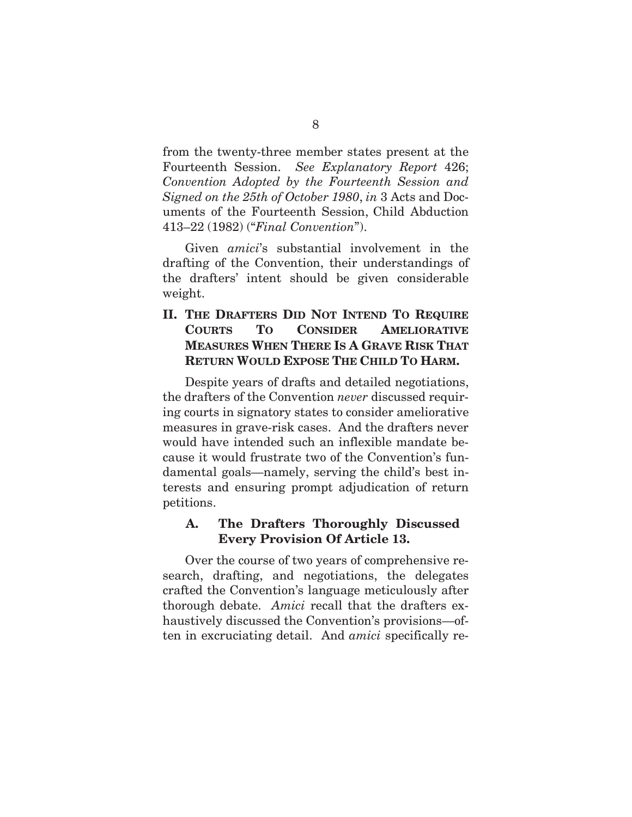from the twenty-three member states present at the Fourteenth Session. *See Explanatory Report* 426; *Convention Adopted by the Fourteenth Session and Signed on the 25th of October 1980*, *in* 3 Acts and Documents of the Fourteenth Session, Child Abduction 413–22 (1982) ("*Final Convention*").

Given *amici*'s substantial involvement in the drafting of the Convention, their understandings of the drafters' intent should be given considerable weight.

# **II. THE DRAFTERS DID NOT INTEND TO REQUIRE COURTS TO CONSIDER AMELIORATIVE MEASURES WHEN THERE IS A GRAVE RISK THAT RETURN WOULD EXPOSE THE CHILD TO HARM.**

Despite years of drafts and detailed negotiations, the drafters of the Convention *never* discussed requiring courts in signatory states to consider ameliorative measures in grave-risk cases. And the drafters never would have intended such an inflexible mandate because it would frustrate two of the Convention's fundamental goals—namely, serving the child's best interests and ensuring prompt adjudication of return petitions.

#### **A. The Drafters Thoroughly Discussed Every Provision Of Article 13.**

Over the course of two years of comprehensive research, drafting, and negotiations, the delegates crafted the Convention's language meticulously after thorough debate. *Amici* recall that the drafters exhaustively discussed the Convention's provisions—often in excruciating detail. And *amici* specifically re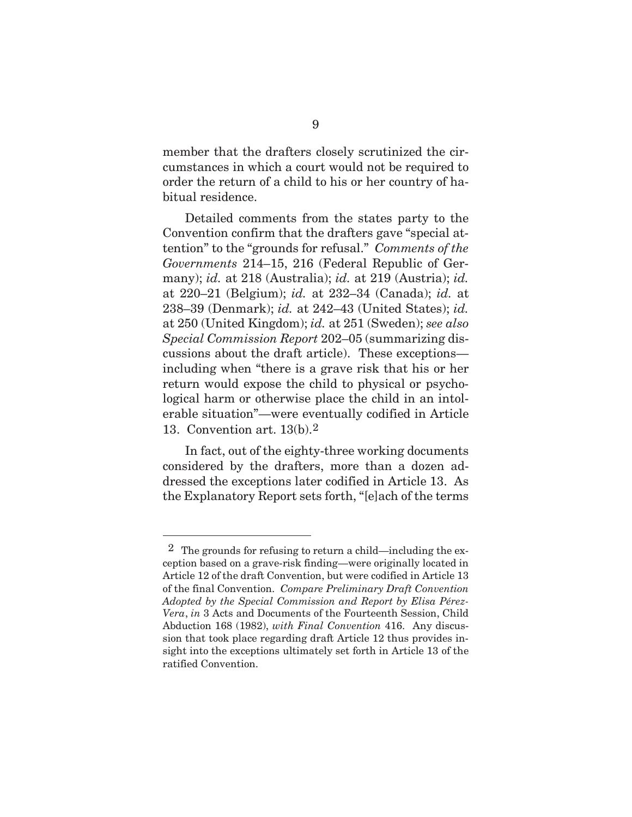member that the drafters closely scrutinized the circumstances in which a court would not be required to order the return of a child to his or her country of habitual residence.

Detailed comments from the states party to the Convention confirm that the drafters gave "special attention" to the "grounds for refusal." *Comments of the Governments* 214–15, 216 (Federal Republic of Germany); *id.* at 218 (Australia); *id.* at 219 (Austria); *id.*  at 220–21 (Belgium); *id.* at 232–34 (Canada); *id.* at 238–39 (Denmark); *id.* at 242–43 (United States); *id.*  at 250 (United Kingdom); *id.* at 251 (Sweden); *see also Special Commission Report* 202–05 (summarizing discussions about the draft article). These exceptions including when "there is a grave risk that his or her return would expose the child to physical or psychological harm or otherwise place the child in an intolerable situation"—were eventually codified in Article 13. Convention art. 13(b).2

In fact, out of the eighty-three working documents considered by the drafters, more than a dozen addressed the exceptions later codified in Article 13. As the Explanatory Report sets forth, "[e]ach of the terms

 $\overline{a}$ 

<sup>&</sup>lt;sup>2</sup> The grounds for refusing to return a child—including the exception based on a grave-risk finding—were originally located in Article 12 of the draft Convention, but were codified in Article 13 of the final Convention. *Compare Preliminary Draft Convention Adopted by the Special Commission and Report by Elisa Pérez-Vera*, *in* 3 Acts and Documents of the Fourteenth Session, Child Abduction 168 (1982), *with Final Convention* 416.Any discussion that took place regarding draft Article 12 thus provides insight into the exceptions ultimately set forth in Article 13 of the ratified Convention.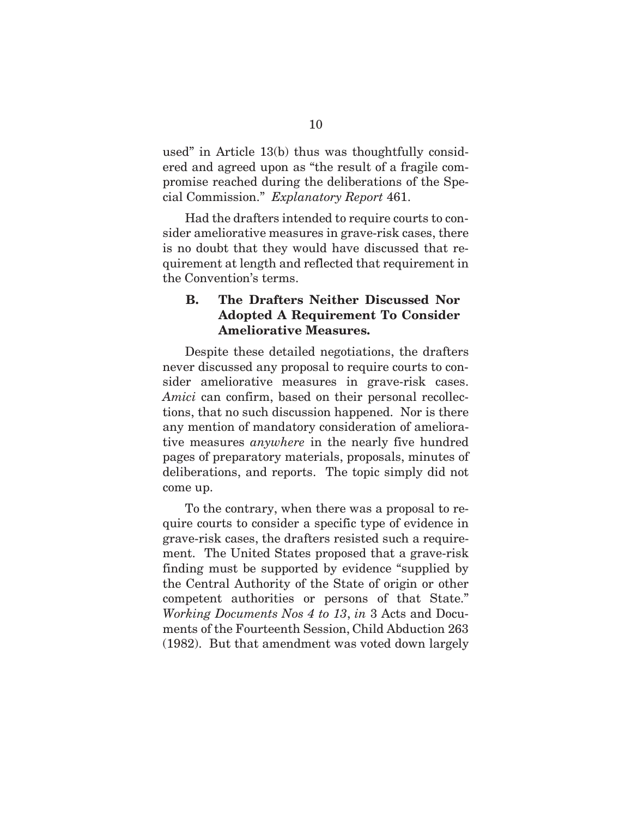used" in Article 13(b) thus was thoughtfully considered and agreed upon as "the result of a fragile compromise reached during the deliberations of the Special Commission." *Explanatory Report* 461.

Had the drafters intended to require courts to consider ameliorative measures in grave-risk cases, there is no doubt that they would have discussed that requirement at length and reflected that requirement in the Convention's terms.

## **B. The Drafters Neither Discussed Nor Adopted A Requirement To Consider Ameliorative Measures.**

Despite these detailed negotiations, the drafters never discussed any proposal to require courts to consider ameliorative measures in grave-risk cases. *Amici* can confirm, based on their personal recollections, that no such discussion happened. Nor is there any mention of mandatory consideration of ameliorative measures *anywhere* in the nearly five hundred pages of preparatory materials, proposals, minutes of deliberations, and reports. The topic simply did not come up.

To the contrary, when there was a proposal to require courts to consider a specific type of evidence in grave-risk cases, the drafters resisted such a requirement. The United States proposed that a grave-risk finding must be supported by evidence "supplied by the Central Authority of the State of origin or other competent authorities or persons of that State." *Working Documents Nos 4 to 13*, *in* 3 Acts and Documents of the Fourteenth Session, Child Abduction 263 (1982). But that amendment was voted down largely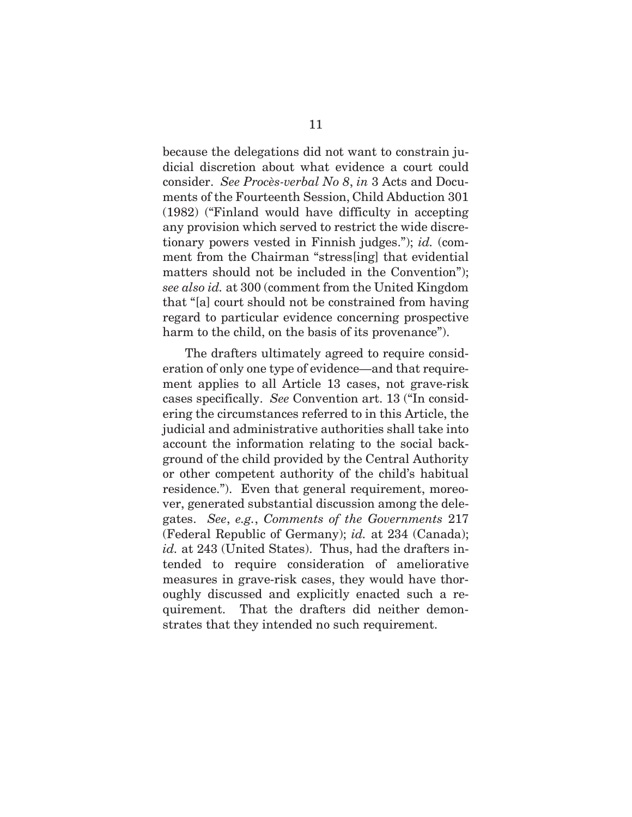because the delegations did not want to constrain judicial discretion about what evidence a court could consider. *See Procès-verbal No 8*, *in* 3 Acts and Documents of the Fourteenth Session, Child Abduction 301 (1982) ("Finland would have difficulty in accepting any provision which served to restrict the wide discretionary powers vested in Finnish judges."); *id.* (comment from the Chairman "stress[ing] that evidential matters should not be included in the Convention"); *see also id.* at 300 (comment from the United Kingdom that "[a] court should not be constrained from having regard to particular evidence concerning prospective harm to the child, on the basis of its provenance".

The drafters ultimately agreed to require consideration of only one type of evidence—and that requirement applies to all Article 13 cases, not grave-risk cases specifically. *See* Convention art. 13 ("In considering the circumstances referred to in this Article, the judicial and administrative authorities shall take into account the information relating to the social background of the child provided by the Central Authority or other competent authority of the child's habitual residence."). Even that general requirement, moreover, generated substantial discussion among the delegates. *See*, *e.g.*, *Comments of the Governments* 217 (Federal Republic of Germany); *id.* at 234 (Canada); *id.* at 243 (United States). Thus, had the drafters intended to require consideration of ameliorative measures in grave-risk cases, they would have thoroughly discussed and explicitly enacted such a requirement. That the drafters did neither demonstrates that they intended no such requirement.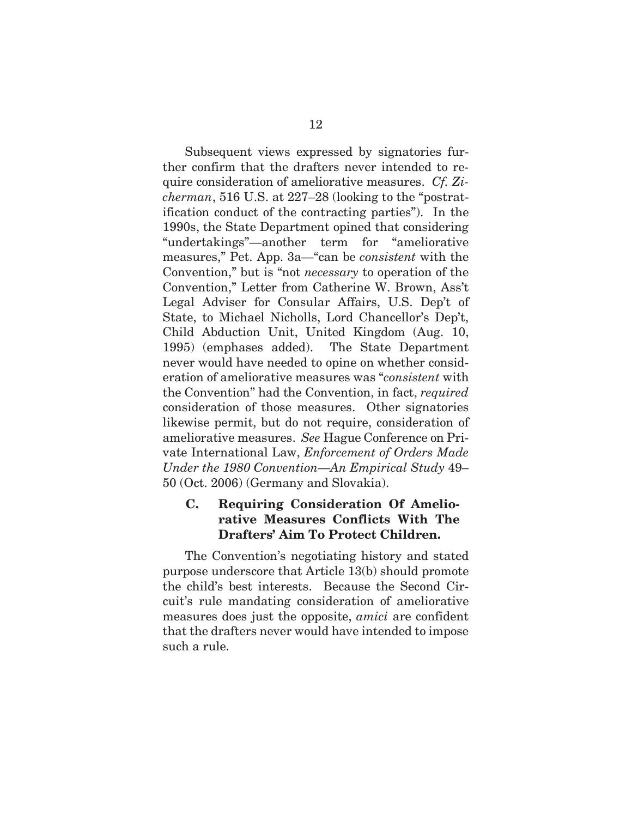Subsequent views expressed by signatories further confirm that the drafters never intended to require consideration of ameliorative measures. *Cf. Zicherman*, 516 U.S. at 227–28 (looking to the "postratification conduct of the contracting parties"). In the 1990s, the State Department opined that considering "undertakings"—another term for "ameliorative measures," Pet. App. 3a—"can be *consistent* with the Convention," but is "not *necessary* to operation of the Convention," Letter from Catherine W. Brown, Ass't Legal Adviser for Consular Affairs, U.S. Dep't of State, to Michael Nicholls, Lord Chancellor's Dep't, Child Abduction Unit, United Kingdom (Aug. 10, 1995) (emphases added). The State Department never would have needed to opine on whether consideration of ameliorative measures was "*consistent* with the Convention" had the Convention, in fact, *required*  consideration of those measures. Other signatories likewise permit, but do not require, consideration of ameliorative measures. *See* Hague Conference on Private International Law, *Enforcement of Orders Made Under the 1980 Convention—An Empirical Study* 49– 50 (Oct. 2006) (Germany and Slovakia).

## **C. Requiring Consideration Of Ameliorative Measures Conflicts With The Drafters' Aim To Protect Children.**

The Convention's negotiating history and stated purpose underscore that Article 13(b) should promote the child's best interests. Because the Second Circuit's rule mandating consideration of ameliorative measures does just the opposite, *amici* are confident that the drafters never would have intended to impose such a rule.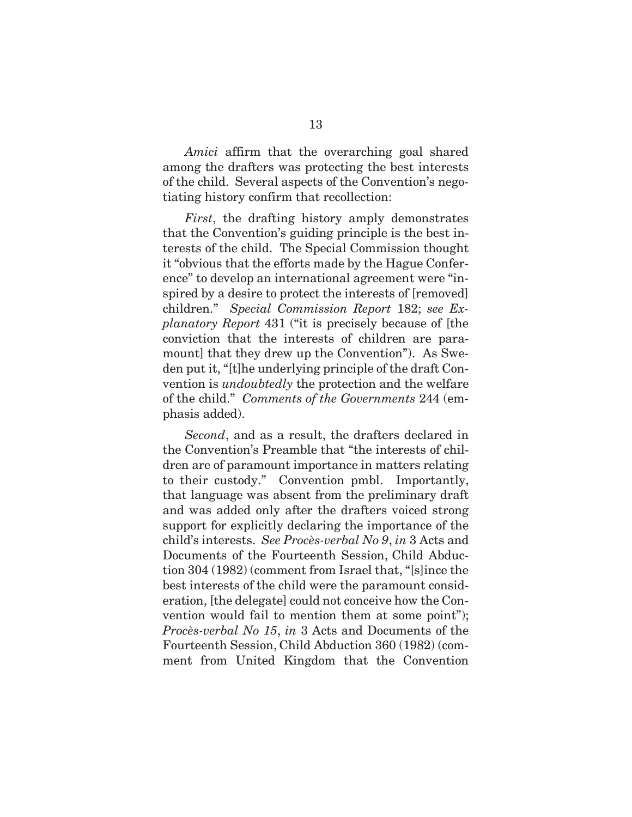*Amici* affirm that the overarching goal shared among the drafters was protecting the best interests of the child. Several aspects of the Convention's negotiating history confirm that recollection:

*First*, the drafting history amply demonstrates that the Convention's guiding principle is the best interests of the child. The Special Commission thought it "obvious that the efforts made by the Hague Conference" to develop an international agreement were "inspired by a desire to protect the interests of [removed] children." *Special Commission Report* 182; *see Explanatory Report* 431 ("it is precisely because of [the conviction that the interests of children are paramount] that they drew up the Convention"). As Sweden put it, "[t]he underlying principle of the draft Convention is *undoubtedly* the protection and the welfare of the child." *Comments of the Governments* 244 (emphasis added).

*Second*, and as a result, the drafters declared in the Convention's Preamble that "the interests of children are of paramount importance in matters relating to their custody." Convention pmbl. Importantly, that language was absent from the preliminary draft and was added only after the drafters voiced strong support for explicitly declaring the importance of the child's interests. *See Procès-verbal No 9*, *in* 3 Acts and Documents of the Fourteenth Session, Child Abduction 304 (1982) (comment from Israel that, "[s]ince the best interests of the child were the paramount consideration, [the delegate] could not conceive how the Convention would fail to mention them at some point"); *Procès-verbal No 15*, *in* 3 Acts and Documents of the Fourteenth Session, Child Abduction 360 (1982) (comment from United Kingdom that the Convention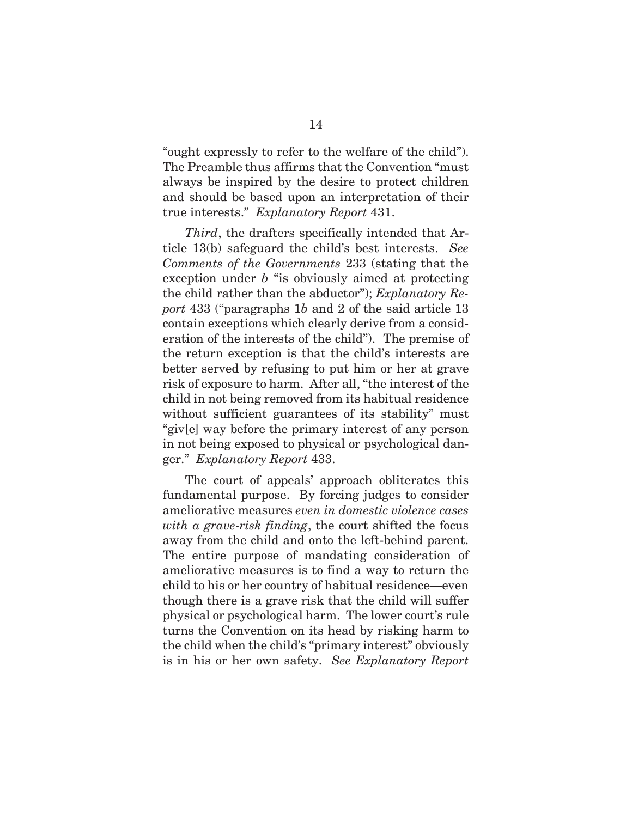"ought expressly to refer to the welfare of the child"). The Preamble thus affirms that the Convention "must always be inspired by the desire to protect children and should be based upon an interpretation of their true interests." *Explanatory Report* 431.

*Third*, the drafters specifically intended that Article 13(b) safeguard the child's best interests. *See Comments of the Governments* 233 (stating that the exception under *b* "is obviously aimed at protecting the child rather than the abductor"); *Explanatory Report* 433 ("paragraphs 1*b* and 2 of the said article 13 contain exceptions which clearly derive from a consideration of the interests of the child"). The premise of the return exception is that the child's interests are better served by refusing to put him or her at grave risk of exposure to harm. After all, "the interest of the child in not being removed from its habitual residence without sufficient guarantees of its stability" must "giv[e] way before the primary interest of any person in not being exposed to physical or psychological danger." *Explanatory Report* 433.

The court of appeals' approach obliterates this fundamental purpose. By forcing judges to consider ameliorative measures *even in domestic violence cases with a grave-risk finding*, the court shifted the focus away from the child and onto the left-behind parent. The entire purpose of mandating consideration of ameliorative measures is to find a way to return the child to his or her country of habitual residence—even though there is a grave risk that the child will suffer physical or psychological harm. The lower court's rule turns the Convention on its head by risking harm to the child when the child's "primary interest" obviously is in his or her own safety. *See Explanatory Report*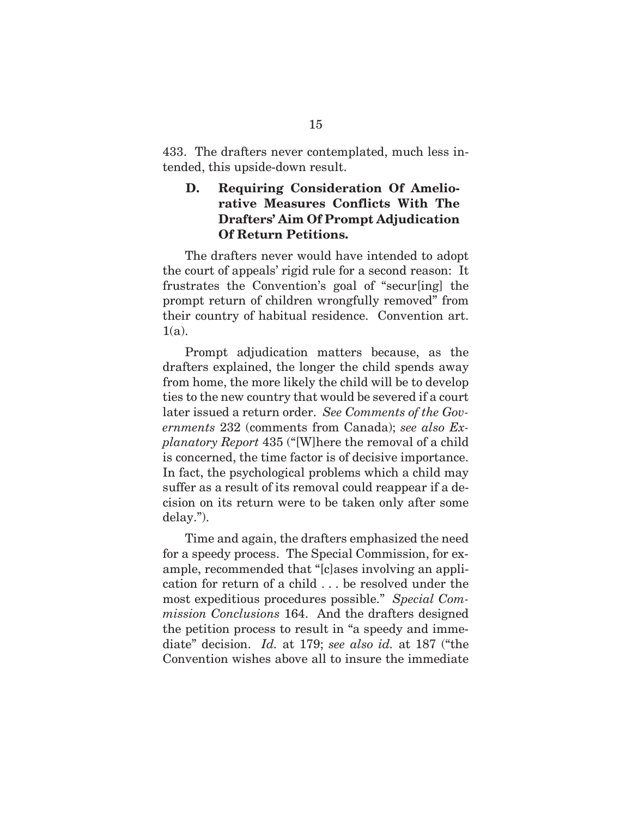433. The drafters never contemplated, much less intended, this upside-down result.

#### **D. Requiring Consideration Of Ameliorative Measures Conflicts With The Drafters' Aim Of Prompt Adjudication Of Return Petitions.**

The drafters never would have intended to adopt the court of appeals' rigid rule for a second reason: It frustrates the Convention's goal of "secur[ing] the prompt return of children wrongfully removed" from their country of habitual residence. Convention art.  $1(a)$ .

Prompt adjudication matters because, as the drafters explained, the longer the child spends away from home, the more likely the child will be to develop ties to the new country that would be severed if a court later issued a return order. *See Comments of the Governments* 232 (comments from Canada); *see also Explanatory Report* 435 ("[W]here the removal of a child is concerned, the time factor is of decisive importance. In fact, the psychological problems which a child may suffer as a result of its removal could reappear if a decision on its return were to be taken only after some delay.").

Time and again, the drafters emphasized the need for a speedy process. The Special Commission, for example, recommended that "[c]ases involving an application for return of a child . . . be resolved under the most expeditious procedures possible." *Special Commission Conclusions* 164. And the drafters designed the petition process to result in "a speedy and immediate" decision. *Id.* at 179; *see also id.* at 187 ("the Convention wishes above all to insure the immediate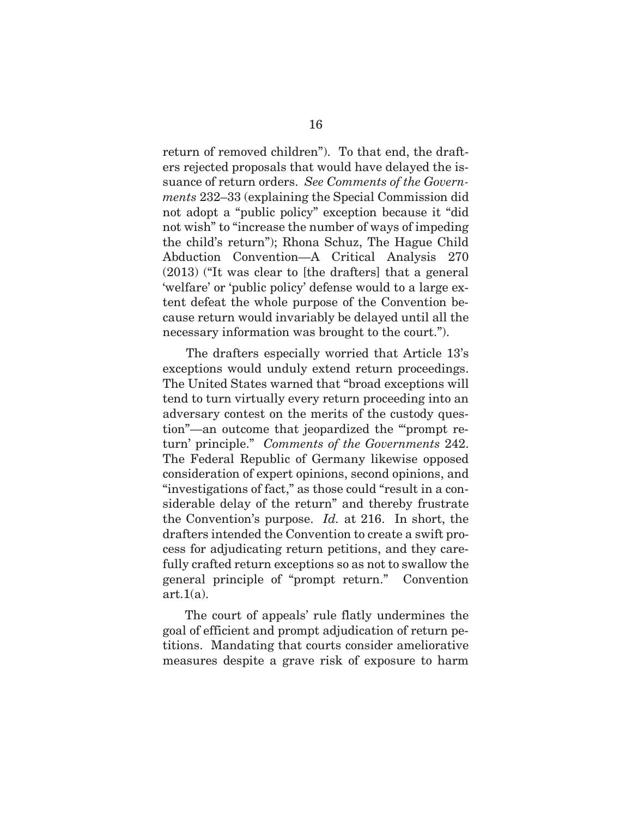return of removed children"). To that end, the drafters rejected proposals that would have delayed the issuance of return orders. *See Comments of the Governments* 232–33 (explaining the Special Commission did not adopt a "public policy" exception because it "did not wish" to "increase the number of ways of impeding the child's return"); Rhona Schuz, The Hague Child Abduction Convention—A Critical Analysis 270 (2013) ("It was clear to [the drafters] that a general 'welfare' or 'public policy' defense would to a large extent defeat the whole purpose of the Convention because return would invariably be delayed until all the necessary information was brought to the court.").

The drafters especially worried that Article 13's exceptions would unduly extend return proceedings. The United States warned that "broad exceptions will tend to turn virtually every return proceeding into an adversary contest on the merits of the custody question"—an outcome that jeopardized the "'prompt return' principle." *Comments of the Governments* 242. The Federal Republic of Germany likewise opposed consideration of expert opinions, second opinions, and "investigations of fact," as those could "result in a considerable delay of the return" and thereby frustrate the Convention's purpose. *Id.* at 216. In short, the drafters intended the Convention to create a swift process for adjudicating return petitions, and they carefully crafted return exceptions so as not to swallow the general principle of "prompt return." Convention  $art.1(a)$ .

The court of appeals' rule flatly undermines the goal of efficient and prompt adjudication of return petitions. Mandating that courts consider ameliorative measures despite a grave risk of exposure to harm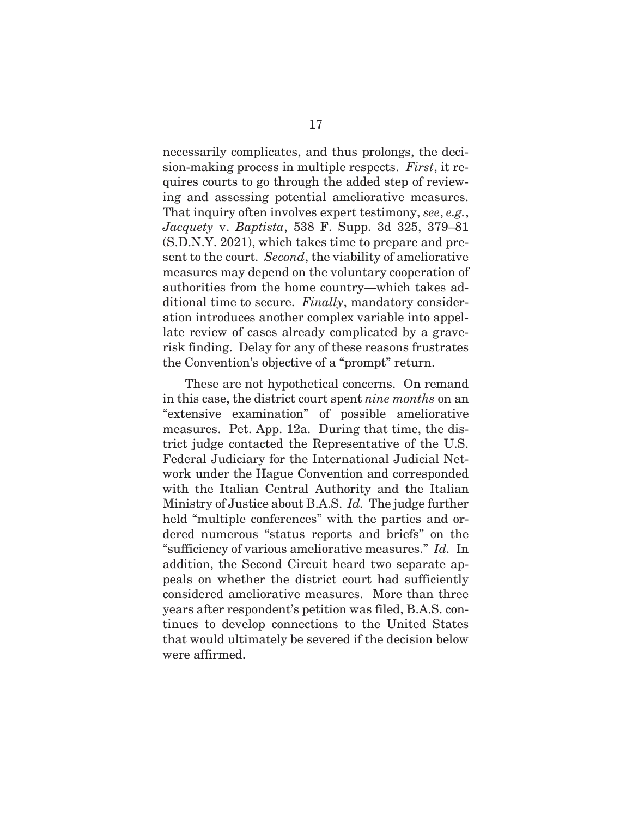necessarily complicates, and thus prolongs, the decision-making process in multiple respects. *First*, it requires courts to go through the added step of reviewing and assessing potential ameliorative measures. That inquiry often involves expert testimony, *see*, *e.g.*, *Jacquety* v. *Baptista*, 538 F. Supp. 3d 325, 379–81 (S.D.N.Y. 2021), which takes time to prepare and present to the court. *Second*, the viability of ameliorative measures may depend on the voluntary cooperation of authorities from the home country—which takes additional time to secure. *Finally*, mandatory consideration introduces another complex variable into appellate review of cases already complicated by a graverisk finding. Delay for any of these reasons frustrates the Convention's objective of a "prompt" return.

These are not hypothetical concerns. On remand in this case, the district court spent *nine months* on an "extensive examination" of possible ameliorative measures. Pet. App. 12a. During that time, the district judge contacted the Representative of the U.S. Federal Judiciary for the International Judicial Network under the Hague Convention and corresponded with the Italian Central Authority and the Italian Ministry of Justice about B.A.S. *Id.* The judge further held "multiple conferences" with the parties and ordered numerous "status reports and briefs" on the "sufficiency of various ameliorative measures." *Id.* In addition, the Second Circuit heard two separate appeals on whether the district court had sufficiently considered ameliorative measures. More than three years after respondent's petition was filed, B.A.S. continues to develop connections to the United States that would ultimately be severed if the decision below were affirmed.